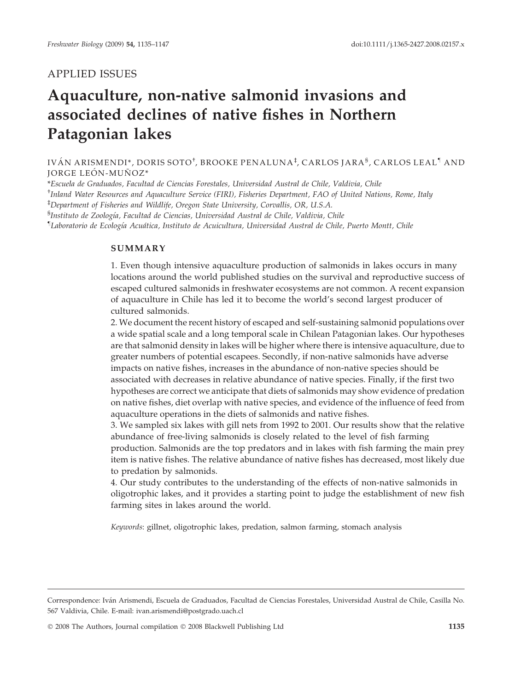## APPLIED ISSUES

# Aquaculture, non-native salmonid invasions and associated declines of native fishes in Northern Patagonian lakes

IVÁN ARISMENDI\*, DORIS SOTO†, BROOKE PENALUNA‡, CARLOS JARA<sup>§</sup>, CARLOS LEAL<sup>¶</sup> AND JORGE LEÓN-MUÑOZ\*

\*Escuela de Graduados, Facultad de Ciencias Forestales, Universidad Austral de Chile, Valdivia, Chile † Inland Water Resources and Aquaculture Service (FIRI), Fisheries Department, FAO of United Nations, Rome, Italy ‡ Department of Fisheries and Wildlife, Oregon State University, Corvallis, OR, U.S.A. <sup>§</sup>Instituto de Zoología, Facultad de Ciencias, Universidad Austral de Chile, Valdivia, Chile

– Laboratorio de Ecologı´a Acua´tica, Instituto de Acuicultura, Universidad Austral de Chile, Puerto Montt, Chile

## SUMMARY

1. Even though intensive aquaculture production of salmonids in lakes occurs in many locations around the world published studies on the survival and reproductive success of escaped cultured salmonids in freshwater ecosystems are not common. A recent expansion of aquaculture in Chile has led it to become the world's second largest producer of cultured salmonids.

2. We document the recent history of escaped and self-sustaining salmonid populations over a wide spatial scale and a long temporal scale in Chilean Patagonian lakes. Our hypotheses are that salmonid density in lakes will be higher where there is intensive aquaculture, due to greater numbers of potential escapees. Secondly, if non-native salmonids have adverse impacts on native fishes, increases in the abundance of non-native species should be associated with decreases in relative abundance of native species. Finally, if the first two hypotheses are correct we anticipate that diets of salmonids may show evidence of predation on native fishes, diet overlap with native species, and evidence of the influence of feed from aquaculture operations in the diets of salmonids and native fishes.

3. We sampled six lakes with gill nets from 1992 to 2001. Our results show that the relative abundance of free-living salmonids is closely related to the level of fish farming production. Salmonids are the top predators and in lakes with fish farming the main prey item is native fishes. The relative abundance of native fishes has decreased, most likely due to predation by salmonids.

4. Our study contributes to the understanding of the effects of non-native salmonids in oligotrophic lakes, and it provides a starting point to judge the establishment of new fish farming sites in lakes around the world.

Keywords: gillnet, oligotrophic lakes, predation, salmon farming, stomach analysis

Correspondence: Iva´n Arismendi, Escuela de Graduados, Facultad de Ciencias Forestales, Universidad Austral de Chile, Casilla No. 567 Valdivia, Chile. E-mail: ivan.arismendi@postgrado.uach.cl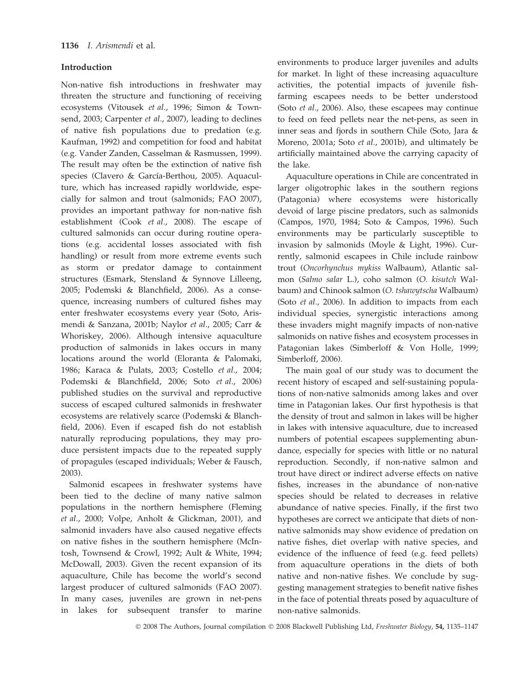## Introduction

Non-native fish introductions in freshwater may threaten the structure and functioning of receiving ecosystems (Vitousek et al., 1996; Simon & Townsend, 2003; Carpenter et al., 2007), leading to declines of native fish populations due to predation (e.g. Kaufman, 1992) and competition for food and habitat (e.g. Vander Zanden, Casselman & Rasmussen, 1999). The result may often be the extinction of native fish species (Clavero & García-Berthou, 2005). Aquaculture, which has increased rapidly worldwide, especially for salmon and trout (salmonids; FAO 2007), provides an important pathway for non-native fish establishment (Cook et al., 2008). The escape of cultured salmonids can occur during routine operations (e.g. accidental losses associated with fish handling) or result from more extreme events such as storm or predator damage to containment structures (Esmark, Stensland & Synnove Lilleeng, 2005; Podemski & Blanchfield, 2006). As a consequence, increasing numbers of cultured fishes may enter freshwater ecosystems every year (Soto, Arismendi & Sanzana, 2001b; Naylor et al., 2005; Carr & Whoriskey, 2006). Although intensive aquaculture production of salmonids in lakes occurs in many locations around the world (Eloranta & Palomaki, 1986; Karaca & Pulats, 2003; Costello et al., 2004; Podemski & Blanchfield, 2006; Soto et al., 2006) published studies on the survival and reproductive success of escaped cultured salmonids in freshwater ecosystems are relatively scarce (Podemski & Blanchfield, 2006). Even if escaped fish do not establish naturally reproducing populations, they may produce persistent impacts due to the repeated supply of propagules (escaped individuals; Weber & Fausch, 2003).

Salmonid escapees in freshwater systems have been tied to the decline of many native salmon populations in the northern hemisphere (Fleming et al., 2000; Volpe, Anholt & Glickman, 2001), and salmonid invaders have also caused negative effects on native fishes in the southern hemisphere (McIntosh, Townsend & Crowl, 1992; Ault & White, 1994; McDowall, 2003). Given the recent expansion of its aquaculture, Chile has become the world's second largest producer of cultured salmonids (FAO 2007). In many cases, juveniles are grown in net-pens in lakes for subsequent transfer to marine environments to produce larger juveniles and adults for market. In light of these increasing aquaculture activities, the potential impacts of juvenile fishfarming escapees needs to be better understood (Soto et al., 2006). Also, these escapees may continue to feed on feed pellets near the net-pens, as seen in inner seas and fjords in southern Chile (Soto, Jara & Moreno, 2001a; Soto et al., 2001b), and ultimately be artificially maintained above the carrying capacity of the lake.

Aquaculture operations in Chile are concentrated in larger oligotrophic lakes in the southern regions (Patagonia) where ecosystems were historically devoid of large piscine predators, such as salmonids (Campos, 1970, 1984; Soto & Campos, 1996). Such environments may be particularly susceptible to invasion by salmonids (Moyle & Light, 1996). Currently, salmonid escapees in Chile include rainbow trout (Oncorhynchus mykiss Walbaum), Atlantic salmon (Salmo salar L.), coho salmon (O. kisutch Walbaum) and Chinook salmon (O. tshawytscha Walbaum) (Soto et al., 2006). In addition to impacts from each individual species, synergistic interactions among these invaders might magnify impacts of non-native salmonids on native fishes and ecosystem processes in Patagonian lakes (Simberloff & Von Holle, 1999; Simberloff, 2006).

The main goal of our study was to document the recent history of escaped and self-sustaining populations of non-native salmonids among lakes and over time in Patagonian lakes. Our first hypothesis is that the density of trout and salmon in lakes will be higher in lakes with intensive aquaculture, due to increased numbers of potential escapees supplementing abundance, especially for species with little or no natural reproduction. Secondly, if non-native salmon and trout have direct or indirect adverse effects on native fishes, increases in the abundance of non-native species should be related to decreases in relative abundance of native species. Finally, if the first two hypotheses are correct we anticipate that diets of nonnative salmonids may show evidence of predation on native fishes, diet overlap with native species, and evidence of the influence of feed (e.g. feed pellets) from aquaculture operations in the diets of both native and non-native fishes. We conclude by suggesting management strategies to benefit native fishes in the face of potential threats posed by aquaculture of non-native salmonids.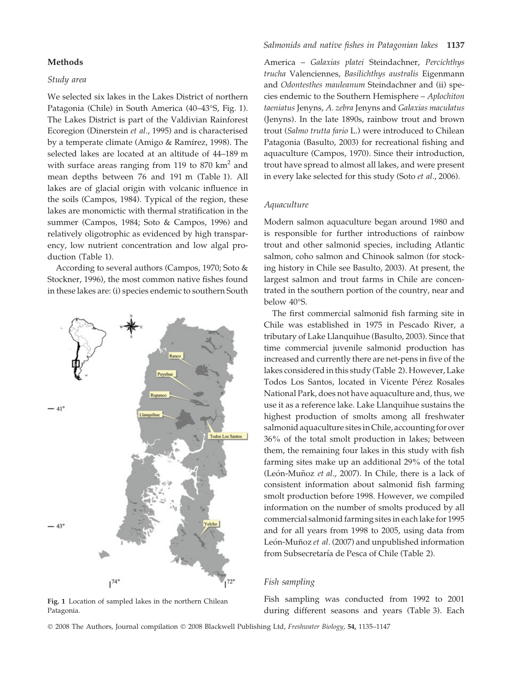## Methods

## Study area

We selected six lakes in the Lakes District of northern Patagonia (Chile) in South America (40–43°S, Fig. 1). The Lakes District is part of the Valdivian Rainforest Ecoregion (Dinerstein et al., 1995) and is characterised by a temperate climate (Amigo & Ramírez, 1998). The selected lakes are located at an altitude of 44–189 m with surface areas ranging from 119 to  $870 \text{ km}^2$  and mean depths between 76 and 191 m (Table 1). All lakes are of glacial origin with volcanic influence in the soils (Campos, 1984). Typical of the region, these lakes are monomictic with thermal stratification in the summer (Campos, 1984; Soto & Campos, 1996) and relatively oligotrophic as evidenced by high transparency, low nutrient concentration and low algal production (Table 1).

According to several authors (Campos, 1970; Soto & Stockner, 1996), the most common native fishes found in these lakes are: (i) species endemic to southern South



Fig. 1 Location of sampled lakes in the northern Chilean Patagonia.

## Salmonids and native fishes in Patagonian lakes 1137

America – Galaxias platei Steindachner, Percichthys trucha Valenciennes, Basilichthys australis Eigenmann and Odontesthes mauleanum Steindachner and (ii) species endemic to the Southern Hemisphere – Aplochiton taeniatus Jenyns, A. zebra Jenyns and Galaxias maculatus (Jenyns). In the late 1890s, rainbow trout and brown trout (Salmo trutta fario L.) were introduced to Chilean Patagonia (Basulto, 2003) for recreational fishing and aquaculture (Campos, 1970). Since their introduction, trout have spread to almost all lakes, and were present in every lake selected for this study (Soto et al., 2006).

#### Aquaculture

Modern salmon aquaculture began around 1980 and is responsible for further introductions of rainbow trout and other salmonid species, including Atlantic salmon, coho salmon and Chinook salmon (for stocking history in Chile see Basulto, 2003). At present, the largest salmon and trout farms in Chile are concentrated in the southern portion of the country, near and below 40°S.

The first commercial salmonid fish farming site in Chile was established in 1975 in Pescado River, a tributary of Lake Llanquihue (Basulto, 2003). Since that time commercial juvenile salmonid production has increased and currently there are net-pens in five of the lakes considered in this study (Table 2). However, Lake Todos Los Santos, located in Vicente Pérez Rosales National Park, does not have aquaculture and, thus, we use it as a reference lake. Lake Llanquihue sustains the highest production of smolts among all freshwater salmonid aquaculture sites in Chile, accounting for over 36% of the total smolt production in lakes; between them, the remaining four lakes in this study with fish farming sites make up an additional 29% of the total (León-Muñoz et al., 2007). In Chile, there is a lack of consistent information about salmonid fish farming smolt production before 1998. However, we compiled information on the number of smolts produced by all commercial salmonid farming sites in each lake for 1995 and for all years from 1998 to 2005, using data from León-Muñoz et al. (2007) and unpublished information from Subsecretaría de Pesca of Chile (Table 2).

## Fish sampling

Fish sampling was conducted from 1992 to 2001 during different seasons and years (Table 3). Each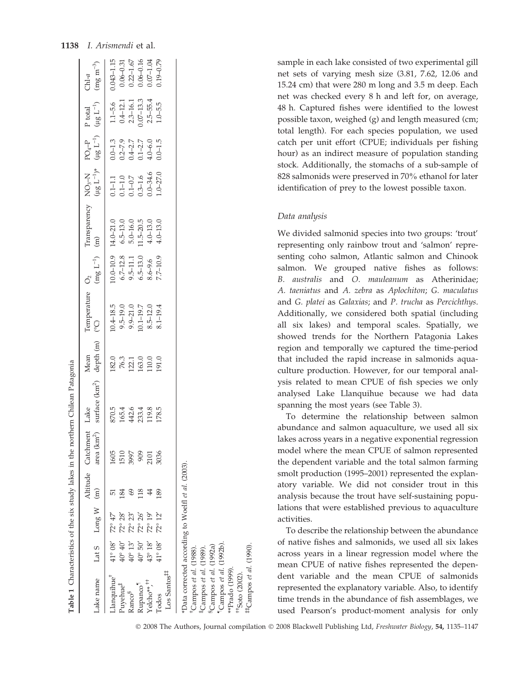|                                                                                          |                    |                            |     |                                                | Table 1 Characteristics of the six study lakes in the northern Chilean Patagonia |                |                   |                                                               |                                                    |                                                                                 |                                                                    |                                     |                                                                                                                 |  |
|------------------------------------------------------------------------------------------|--------------------|----------------------------|-----|------------------------------------------------|----------------------------------------------------------------------------------|----------------|-------------------|---------------------------------------------------------------|----------------------------------------------------|---------------------------------------------------------------------------------|--------------------------------------------------------------------|-------------------------------------|-----------------------------------------------------------------------------------------------------------------|--|
| Lake name                                                                                |                    | Lat S Long W (m)           |     | Altitude Catchment Lake<br>area $({\rm km}^2)$ | surface (km <sup>2</sup> ) depth (m) (°C)                                        | Mean           | Temperature $O_2$ | $\begin{pmatrix} \text{mg} & \text{L}^{-1} \end{pmatrix}$ (m) | Transparency NO <sub>3</sub> -N PO <sub>4</sub> -P |                                                                                 | $(\mu g \ L^{-1})^* \quad (\mu g \ L^{-1}) \quad (\mu g \ L^{-1})$ | ${\bf P}$ total                     | $(mg\ m^{-3})$<br>$Chl-a$                                                                                       |  |
| Janquihue <sup>r</sup>                                                                   |                    | $41^{\circ} 08'$ 72° $47'$ |     | 1605                                           | 870.5                                                                            | 182.0          | $10.4 - 18.5$     | $10.0 - 10.9$                                                 | $14.0 - 21.0$                                      | $\begin{array}{c} 0.1-1.1\\ 0.1-1.0\\ 0.1-0.7\\ 0.3-1.6\\ 0.0-34.6 \end{array}$ | $0.0 - 1.3$                                                        |                                     | $0.043 - 1.15$                                                                                                  |  |
| Puyehue <sup>‡</sup>                                                                     | $40^{\circ}$ $40'$ | 72° 28'                    |     | <b>I510</b>                                    |                                                                                  | 76.3           | $9.5 - 19.0$      |                                                               | $6.5 - 13.0$                                       |                                                                                 |                                                                    | $1.1 - 5.6$<br>0.4-12.1<br>2.3-16.1 |                                                                                                                 |  |
| Ranco <sup>§</sup>                                                                       | $40^{\circ}$ 13'   | $72^{\circ}$ 23            |     | 3997                                           |                                                                                  |                | $9.9 - 21.0$      |                                                               |                                                    |                                                                                 |                                                                    |                                     |                                                                                                                 |  |
| Rupanco                                                                                  | $40^{\circ}$ 50'   | $72^{\circ}$ 26'           |     | 909                                            | 165.4<br>442.4<br>233.4<br>119.8                                                 | 122.1<br>163.0 | $0.1 - 19.7$      | $6.7-12.8$<br>9.5-11.1<br>6.5-13.0                            | $5.0 - 16.0$<br>11.5-20.5<br>4.0-13.0              |                                                                                 | $0.2-7.9$<br>$0.4-2.7$<br>$0.1-2.7$<br>$0.0-1.5$<br>$0.0-1.5$      | $0.07 - 13.3$                       | $\begin{array}{c} 0.06\text{--}0.31 \\ 0.22\text{--}1.67 \\ 0.06\text{--}0.16 \\ 0.07\text{--}1.04 \end{array}$ |  |
| $Yelcho**.$ <sup>++</sup>                                                                | 43° 18'            | $72^{\circ}$ 19            |     | 2101                                           |                                                                                  | 110.0          | $8.5 - 12.0$      | $8.6 - 9.6$                                                   |                                                    |                                                                                 |                                                                    | $2.5 - 55.4$<br>$1.0 - 5.5$         |                                                                                                                 |  |
| Todos                                                                                    | $41^{\circ}$ 08'   | 72° 12'                    | 189 | 3036                                           | 178.5                                                                            | 191.0          | $8.1 - 19.4$      | 7.7-10.9                                                      | $4.0 - 13.0$                                       | $1.0 - 27.0$                                                                    |                                                                    |                                     | $0.19 - 0.79$                                                                                                   |  |
| $Loss$ Santos <sup>#1</sup>                                                              |                    |                            |     |                                                |                                                                                  |                |                   |                                                               |                                                    |                                                                                 |                                                                    |                                     |                                                                                                                 |  |
| *Data corrected according to Woelfl et al. (2003).<br><sup>†</sup> Campos et al. (1988). |                    |                            |     |                                                |                                                                                  |                |                   |                                                               |                                                    |                                                                                 |                                                                    |                                     |                                                                                                                 |  |
| <sup>‡</sup> Campos et al. (1989).                                                       |                    |                            |     |                                                |                                                                                  |                |                   |                                                               |                                                    |                                                                                 |                                                                    |                                     |                                                                                                                 |  |
| <sup>s</sup> Campos et al. (1992a)                                                       |                    |                            |     |                                                |                                                                                  |                |                   |                                                               |                                                    |                                                                                 |                                                                    |                                     |                                                                                                                 |  |
| Campos et al. $(1992b)$ .                                                                |                    |                            |     |                                                |                                                                                  |                |                   |                                                               |                                                    |                                                                                 |                                                                    |                                     |                                                                                                                 |  |
| **Prado (1999).                                                                          |                    |                            |     |                                                |                                                                                  |                |                   |                                                               |                                                    |                                                                                 |                                                                    |                                     |                                                                                                                 |  |
| $+5$ oto (2002).                                                                         |                    |                            |     |                                                |                                                                                  |                |                   |                                                               |                                                    |                                                                                 |                                                                    |                                     |                                                                                                                 |  |

sample in each lake consisted of two experimental gill net sets of varying mesh size (3.81, 7.62, 12.06 and 15.24 cm) that were 280 m long and 3.5 m deep. Each net was checked every 8 h and left for, on average, 48 h. Captured fishes were identified to the lowest possible taxon, weighed (g) and length measured (cm; total length). For each species population, we used catch per unit effort (CPUE; individuals per fishing hour) as an indirect measure of population standing stock. Additionally, the stomachs of a sub-sample of 828 salmonids were preserved in 70% ethanol for later identification of prey to the lowest possible taxon.

#### Data analysis

We divided salmonid species into two groups: 'trout' representing only rainbow trout and 'salmon' representing coho salmon, Atlantic salmon and Chinook salmon. We grouped native fishes as follows: B. australis and O. mauleanum as Atherinidae; A. taeniatus and A. zebra as Aplochiton; G. maculatus and G. platei as Galaxias; and P. trucha as Percichthys. Additionally, we considered both spatial (including all six lakes) and temporal scales. Spatially, we showed trends for the Northern Patagonia Lakes region and temporally we captured the time-period that included the rapid increase in salmonids aquaculture production. However, for our temporal analysis related to mean CPUE of fish species we only analysed Lake Llanquihue because we had data spanning the most years (see Table 3).

To determine the relationship between salmon abundance and salmon aquaculture, we used all six lakes across years in a negative exponential regression model where the mean CPUE of salmon represented the dependent variable and the total salmon farming smolt production (1995–2001) represented the explanatory variable. We did not consider trout in this analysis because the trout have self-sustaining populations that were established previous to aquaculture activities.

To describe the relationship between the abundance of native fishes and salmonids, we used all six lakes across years in a linear regression model where the mean CPUE of native fishes represented the dependent variable and the mean CPUE of salmonids represented the explanatory variable. Also, to identify time trends in the abundance of fish assemblages, we used Pearson's product-moment analysis for only

© 2008 The Authors, Journal compilation © 2008 Blackwell Publishing Ltd, Freshwater Biology, 54, 1135-1147

‡‡Campos et al. (1990).

#Campos et al. (1990).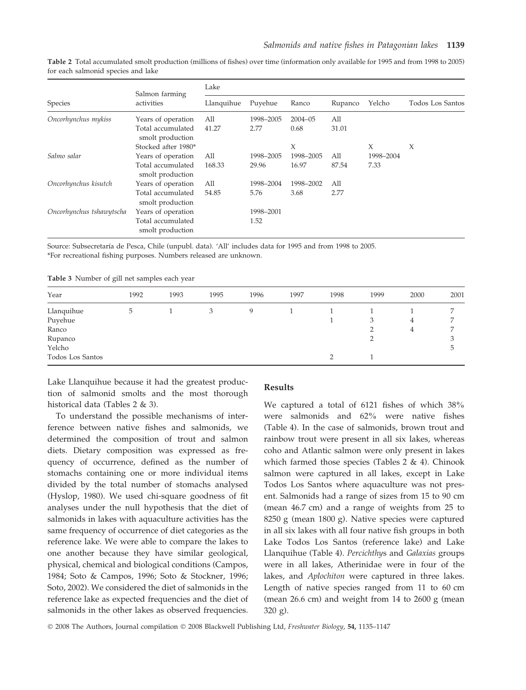|                          | Salmon farming                        | Lake       |           |             |         |           |                  |
|--------------------------|---------------------------------------|------------|-----------|-------------|---------|-----------|------------------|
| Species                  | activities                            | Llanquihue | Puyehue   | Ranco       | Rupanco | Yelcho    | Todos Los Santos |
| Oncorhynchus mykiss      | Years of operation                    | All        | 1998-2005 | $2004 - 05$ | All     |           |                  |
|                          | Total accumulated<br>smolt production | 41.27      | 2.77      | 0.68        | 31.01   |           |                  |
|                          | Stocked after 1980*                   |            |           | X           |         | X         | X                |
| Salmo salar              | Years of operation                    | All        | 1998-2005 | 1998-2005   | All     | 1998-2004 |                  |
|                          | Total accumulated<br>smolt production | 168.33     | 29.96     | 16.97       | 87.54   | 7.33      |                  |
| Oncorhynchus kisutch     | Years of operation                    | All        | 1998-2004 | 1998-2002   | All     |           |                  |
|                          | Total accumulated<br>smolt production | 54.85      | 5.76      | 3.68        | 2.77    |           |                  |
| Oncorhynchus tshawytscha | Years of operation                    |            | 1998-2001 |             |         |           |                  |
|                          | Total accumulated                     |            | 1.52      |             |         |           |                  |
|                          | smolt production                      |            |           |             |         |           |                  |

Table 2 Total accumulated smolt production (millions of fishes) over time (information only available for 1995 and from 1998 to 2005) for each salmonid species and lake

Source: Subsecretaría de Pesca, Chile (unpubl. data). 'All' includes data for 1995 and from 1998 to 2005. \*For recreational fishing purposes. Numbers released are unknown.

Table 3 Number of gill net samples each year

| Year             | 1992          | 1993 | 1995 | 1996 | 1997 | 1998 | 1999 | 2000 | 2001 |
|------------------|---------------|------|------|------|------|------|------|------|------|
| Llanquihue       | $\mathcal{D}$ |      | 3    | 9    |      |      |      |      |      |
| Puyehue          |               |      |      |      |      |      | 3    | 4    |      |
| Ranco            |               |      |      |      |      |      | ∍    | 4    |      |
| Rupanco          |               |      |      |      |      |      | C    |      |      |
| Yelcho           |               |      |      |      |      |      |      |      | 5    |
| Todos Los Santos |               |      |      |      |      | C.   |      |      |      |

Lake Llanquihue because it had the greatest production of salmonid smolts and the most thorough historical data (Tables 2 & 3).

To understand the possible mechanisms of interference between native fishes and salmonids, we determined the composition of trout and salmon diets. Dietary composition was expressed as frequency of occurrence, defined as the number of stomachs containing one or more individual items divided by the total number of stomachs analysed (Hyslop, 1980). We used chi-square goodness of fit analyses under the null hypothesis that the diet of salmonids in lakes with aquaculture activities has the same frequency of occurrence of diet categories as the reference lake. We were able to compare the lakes to one another because they have similar geological, physical, chemical and biological conditions (Campos, 1984; Soto & Campos, 1996; Soto & Stockner, 1996; Soto, 2002). We considered the diet of salmonids in the reference lake as expected frequencies and the diet of salmonids in the other lakes as observed frequencies.

#### Results

We captured a total of 6121 fishes of which 38% were salmonids and 62% were native fishes (Table 4). In the case of salmonids, brown trout and rainbow trout were present in all six lakes, whereas coho and Atlantic salmon were only present in lakes which farmed those species (Tables  $2 \& 4$ ). Chinook salmon were captured in all lakes, except in Lake Todos Los Santos where aquaculture was not present. Salmonids had a range of sizes from 15 to 90 cm (mean 46.7 cm) and a range of weights from 25 to 8250 g (mean 1800 g). Native species were captured in all six lakes with all four native fish groups in both Lake Todos Los Santos (reference lake) and Lake Llanquihue (Table 4). Percichthys and Galaxias groups were in all lakes, Atherinidae were in four of the lakes, and Aplochiton were captured in three lakes. Length of native species ranged from 11 to 60 cm (mean 26.6 cm) and weight from 14 to 2600 g (mean 320 g).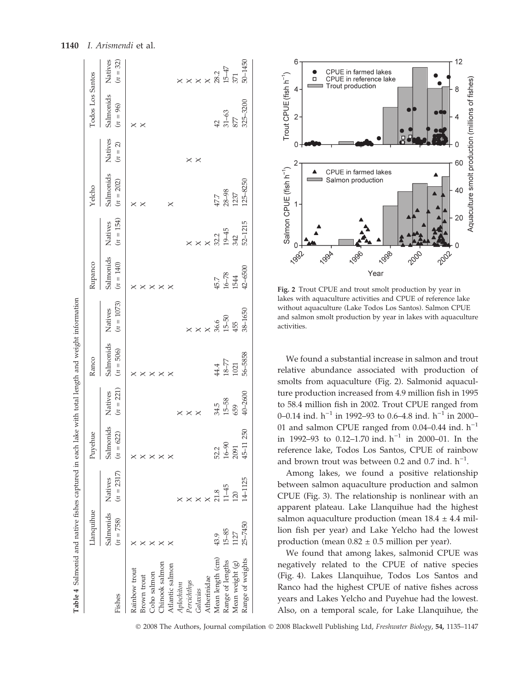| Table 4 Salmonid and native fishes captured in each lake with total length and weight information |                                  |              |                                     |                        |                                                |                         |                                         |                                            |                          |                      |                         |                                                                                          |
|---------------------------------------------------------------------------------------------------|----------------------------------|--------------|-------------------------------------|------------------------|------------------------------------------------|-------------------------|-----------------------------------------|--------------------------------------------|--------------------------|----------------------|-------------------------|------------------------------------------------------------------------------------------|
|                                                                                                   | Llanquihue                       |              | Puyehue                             |                        | Ranco                                          |                         | Rupanco                                 |                                            | Yelcho                   |                      | Todos Los Santos        |                                                                                          |
| Fishes                                                                                            | Salmonids Natives<br>$(n = 758)$ | $(n = 2317)$ | Salmonids<br>$= 622$<br>$\tilde{u}$ | $(n = 221)$<br>Natives | Salmonids<br>$(n = 506)$                       | $(n = 1073)$<br>Natives | Salmonids<br>$(n = 140)$                | $(n = 154)$<br>Natives                     | Salmonids<br>$(n = 202)$ | Natives<br>$(n = 2)$ | Salmonids<br>$(n = 96)$ | Natives<br>$(n = 32)$                                                                    |
| Rainbow trout                                                                                     |                                  |              |                                     |                        |                                                |                         |                                         |                                            |                          |                      | $\times$                |                                                                                          |
| Brown trout                                                                                       |                                  |              | $\times$                            |                        | $\times$                                       |                         | $\times$                                |                                            | $\times$                 |                      | $\times$                |                                                                                          |
| Coho salmon                                                                                       |                                  |              | $\times$                            |                        |                                                |                         |                                         |                                            |                          |                      |                         |                                                                                          |
| Chinook salmon                                                                                    |                                  |              | $\times$                            |                        | $\times$ $\times$                              |                         | $\times$ $\times$                       |                                            |                          |                      |                         |                                                                                          |
| Atlantic salmon                                                                                   |                                  |              | $\times$                            |                        |                                                |                         |                                         |                                            | $\times$                 |                      |                         |                                                                                          |
| Aplochiton                                                                                        |                                  |              |                                     |                        |                                                |                         |                                         |                                            |                          |                      |                         |                                                                                          |
| Percichthys                                                                                       |                                  |              |                                     | $\times$               |                                                |                         |                                         |                                            |                          | $\times$             |                         |                                                                                          |
| Galaxias                                                                                          |                                  |              |                                     |                        |                                                |                         |                                         |                                            |                          | $\times$             |                         |                                                                                          |
| Atherinidae                                                                                       |                                  |              |                                     |                        |                                                | x x x 850               |                                         |                                            |                          |                      |                         |                                                                                          |
| Mean length (cm)                                                                                  | 43.9                             | 21.8         |                                     |                        |                                                |                         |                                         |                                            |                          |                      |                         |                                                                                          |
| Range of lengths                                                                                  | $15 - 85$                        | $11 - 45$    | 52.2<br>16–90                       | 34.5<br>15–58          | $\begin{array}{c} 44.4 \\ 18-\!77 \end{array}$ |                         | $\frac{45.7}{16-78}$<br>1544<br>42-6500 | $\times \times 3.2$<br>32.2<br>1945<br>342 | $\frac{47.7}{28 - 98}$   |                      | $\frac{31 - 63}{877}$   | $\begin{array}{l} \times \times \times 2 \\ \times \times 2 \\ \hline 15-47 \end{array}$ |
| Mean weight (g)                                                                                   | 1127                             | 120          | 2091                                | 559                    | 1021                                           | 455                     |                                         |                                            |                          |                      |                         | 371                                                                                      |
| Range of weights                                                                                  | $25 - 7450$                      | 14-1125      | 45-11 250                           | 40-2600                | 56-5858                                        | 38-1650                 |                                         | $52 - 1215$                                | 125-825                  |                      | 325-3200                | 50-1450                                                                                  |
|                                                                                                   |                                  |              |                                     |                        |                                                |                         |                                         |                                            |                          |                      |                         |                                                                                          |



Fig. 2 Trout CPUE and trout smolt production by year in lakes with aquaculture activities and CPUE of reference lake without aquaculture (Lake Todos Los Santos). Salmon CPUE and salmon smolt production by year in lakes with aquaculture activities.

We found a substantial increase in salmon and trout relative abundance associated with production of smolts from aquaculture (Fig. 2). Salmonid aquaculture production increased from 4.9 million fish in 1995 to 58.4 million fish in 2002. Trout CPUE ranged from 0–0.14 ind.  $h^{-1}$  in 1992–93 to 0.6–4.8 ind.  $h^{-1}$  in 2000– 01 and salmon CPUE ranged from 0.04–0.44 ind.  $h^{-1}$ in 1992–93 to 0.12–1.70 ind.  $h^{-1}$  in 2000–01. In the reference lake, Todos Los Santos, CPUE of rainbow and brown trout was between 0.2 and 0.7 ind.  $h^{-1}$ .

Among lakes, we found a positive relationship between salmon aquaculture production and salmon CPUE (Fig. 3). The relationship is nonlinear with an apparent plateau. Lake Llanquihue had the highest salmon aquaculture production (mean  $18.4 \pm 4.4$  million fish per year) and Lake Yelcho had the lowest production (mean  $0.82 \pm 0.5$  million per year).

We found that among lakes, salmonid CPUE was negatively related to the CPUE of native species (Fig. 4). Lakes Llanquihue, Todos Los Santos and Ranco had the highest CPUE of native fishes across years and Lakes Yelcho and Puyehue had the lowest. Also, on a temporal scale, for Lake Llanquihue, the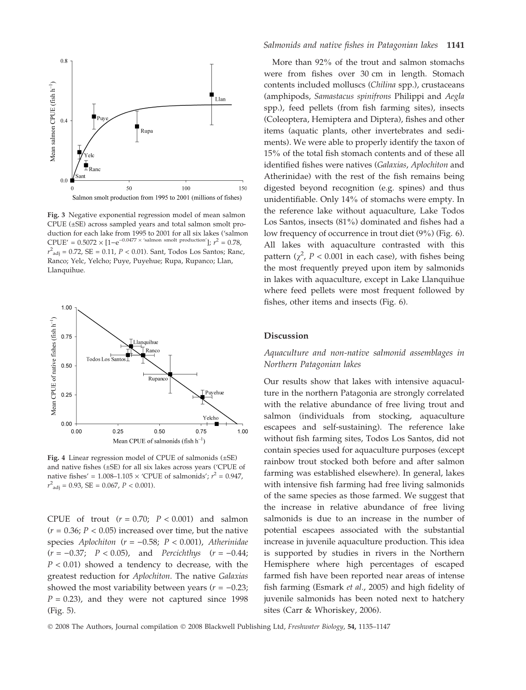

Fig. 3 Negative exponential regression model of mean salmon CPUE (±SE) across sampled years and total salmon smolt production for each lake from 1995 to 2001 for all six lakes ('salmon CPUE' =  $0.5072 \times [1-e^{-0.0477 \times \text{'salmon smolt production'}}]; r^2 = 0.78,$  $r^2_{\text{adj}}$  = 0.72, SE = 0.11, P < 0.01). Sant, Todos Los Santos; Ranc, Ranco; Yelc, Yelcho; Puye, Puyehue; Rupa, Rupanco; Llan, Llanquihue.



Fig. 4 Linear regression model of CPUE of salmonids  $(\pm SE)$ and native fishes (±SE) for all six lakes across years ('CPUE of native fishes' =  $1.008-1.105 \times$  'CPUE of salmonids';  $r^2 = 0.947$ ,  $r^2_{\text{adj}} = 0.93$ , SE = 0.067, P < 0.001).

CPUE of trout  $(r = 0.70; P < 0.001)$  and salmon  $(r = 0.36; P < 0.05)$  increased over time, but the native species Aplochiton ( $r = -0.58$ ; P < 0.001), Atherinidae  $(r = -0.37; P < 0.05)$ , and *Percichthys*  $(r = -0.44;$  $P < 0.01$ ) showed a tendency to decrease, with the greatest reduction for Aplochiton. The native Galaxias showed the most variability between years ( $r = -0.23$ ;  $P = 0.23$ ), and they were not captured since 1998 (Fig. 5).

#### Salmonids and native fishes in Patagonian lakes 1141

More than 92% of the trout and salmon stomachs were from fishes over 30 cm in length. Stomach contents included molluscs (Chilina spp.), crustaceans (amphipods, Samastacus spinifrons Philippi and Aegla spp.), feed pellets (from fish farming sites), insects (Coleoptera, Hemiptera and Diptera), fishes and other items (aquatic plants, other invertebrates and sediments). We were able to properly identify the taxon of 15% of the total fish stomach contents and of these all identified fishes were natives (Galaxias, Aplochiton and Atherinidae) with the rest of the fish remains being digested beyond recognition (e.g. spines) and thus unidentifiable. Only 14% of stomachs were empty. In the reference lake without aquaculture, Lake Todos Los Santos, insects (81%) dominated and fishes had a low frequency of occurrence in trout diet (9%) (Fig. 6). All lakes with aquaculture contrasted with this pattern  $(\chi^2, P < 0.001$  in each case), with fishes being the most frequently preyed upon item by salmonids in lakes with aquaculture, except in Lake Llanquihue where feed pellets were most frequent followed by fishes, other items and insects (Fig. 6).

## Discussion

## Aquaculture and non-native salmonid assemblages in Northern Patagonian lakes

Our results show that lakes with intensive aquaculture in the northern Patagonia are strongly correlated with the relative abundance of free living trout and salmon (individuals from stocking, aquaculture escapees and self-sustaining). The reference lake without fish farming sites, Todos Los Santos, did not contain species used for aquaculture purposes (except rainbow trout stocked both before and after salmon farming was established elsewhere). In general, lakes with intensive fish farming had free living salmonids of the same species as those farmed. We suggest that the increase in relative abundance of free living salmonids is due to an increase in the number of potential escapees associated with the substantial increase in juvenile aquaculture production. This idea is supported by studies in rivers in the Northern Hemisphere where high percentages of escaped farmed fish have been reported near areas of intense fish farming (Esmark et al., 2005) and high fidelity of juvenile salmonids has been noted next to hatchery sites (Carr & Whoriskey, 2006).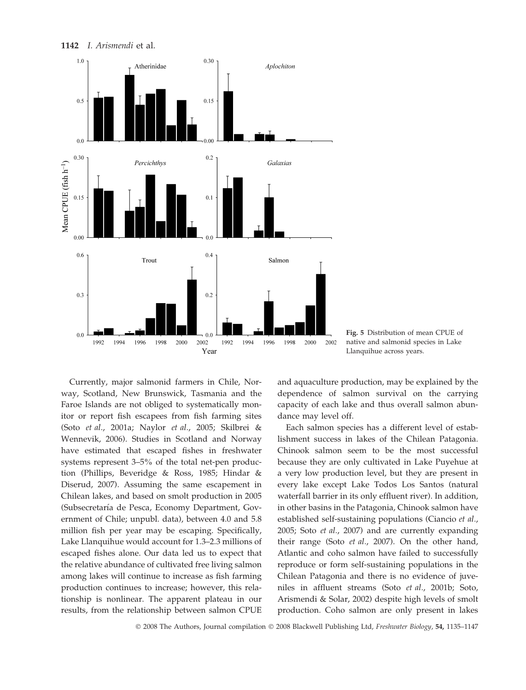

Fig. 5 Distribution of mean CPUE of native and salmonid species in Lake Llanquihue across years.

Currently, major salmonid farmers in Chile, Norway, Scotland, New Brunswick, Tasmania and the Faroe Islands are not obliged to systematically monitor or report fish escapees from fish farming sites (Soto et al., 2001a; Naylor et al., 2005; Skilbrei & Wennevik, 2006). Studies in Scotland and Norway have estimated that escaped fishes in freshwater systems represent 3–5% of the total net-pen production (Phillips, Beveridge & Ross, 1985; Hindar & Diserud, 2007). Assuming the same escapement in Chilean lakes, and based on smolt production in 2005 (Subsecretaría de Pesca, Economy Department, Government of Chile; unpubl. data), between 4.0 and 5.8 million fish per year may be escaping. Specifically, Lake Llanquihue would account for 1.3–2.3 millions of escaped fishes alone. Our data led us to expect that the relative abundance of cultivated free living salmon among lakes will continue to increase as fish farming production continues to increase; however, this relationship is nonlinear. The apparent plateau in our results, from the relationship between salmon CPUE and aquaculture production, may be explained by the dependence of salmon survival on the carrying capacity of each lake and thus overall salmon abundance may level off.

Each salmon species has a different level of establishment success in lakes of the Chilean Patagonia. Chinook salmon seem to be the most successful because they are only cultivated in Lake Puyehue at a very low production level, but they are present in every lake except Lake Todos Los Santos (natural waterfall barrier in its only effluent river). In addition, in other basins in the Patagonia, Chinook salmon have established self-sustaining populations (Ciancio et al., 2005; Soto et al., 2007) and are currently expanding their range (Soto et al., 2007). On the other hand, Atlantic and coho salmon have failed to successfully reproduce or form self-sustaining populations in the Chilean Patagonia and there is no evidence of juveniles in affluent streams (Soto et al., 2001b; Soto, Arismendi & Solar, 2002) despite high levels of smolt production. Coho salmon are only present in lakes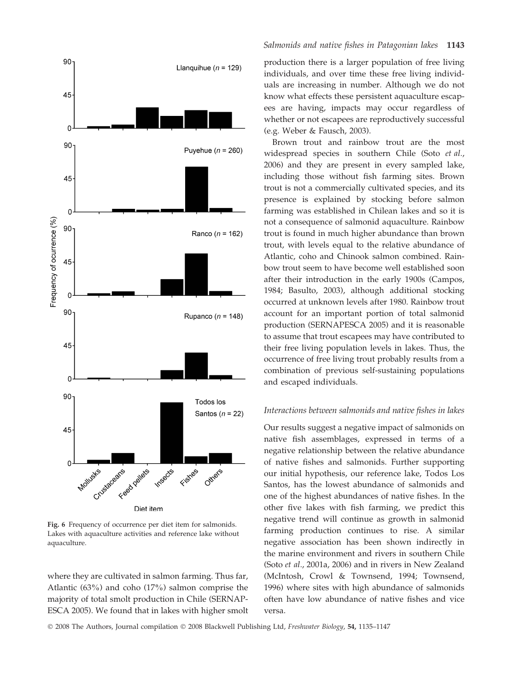

Fig. 6 Frequency of occurrence per diet item for salmonids. Lakes with aquaculture activities and reference lake without aquaculture.

where they are cultivated in salmon farming. Thus far, Atlantic (63%) and coho (17%) salmon comprise the majority of total smolt production in Chile (SERNAP-ESCA 2005). We found that in lakes with higher smolt

#### Salmonids and native fishes in Patagonian lakes 1143

production there is a larger population of free living individuals, and over time these free living individuals are increasing in number. Although we do not know what effects these persistent aquaculture escapees are having, impacts may occur regardless of whether or not escapees are reproductively successful (e.g. Weber & Fausch, 2003).

Brown trout and rainbow trout are the most widespread species in southern Chile (Soto et al., 2006) and they are present in every sampled lake, including those without fish farming sites. Brown trout is not a commercially cultivated species, and its presence is explained by stocking before salmon farming was established in Chilean lakes and so it is not a consequence of salmonid aquaculture. Rainbow trout is found in much higher abundance than brown trout, with levels equal to the relative abundance of Atlantic, coho and Chinook salmon combined. Rainbow trout seem to have become well established soon after their introduction in the early 1900s (Campos, 1984; Basulto, 2003), although additional stocking occurred at unknown levels after 1980. Rainbow trout account for an important portion of total salmonid production (SERNAPESCA 2005) and it is reasonable to assume that trout escapees may have contributed to their free living population levels in lakes. Thus, the occurrence of free living trout probably results from a combination of previous self-sustaining populations and escaped individuals.

#### Interactions between salmonids and native fishes in lakes

Our results suggest a negative impact of salmonids on native fish assemblages, expressed in terms of a negative relationship between the relative abundance of native fishes and salmonids. Further supporting our initial hypothesis, our reference lake, Todos Los Santos, has the lowest abundance of salmonids and one of the highest abundances of native fishes. In the other five lakes with fish farming, we predict this negative trend will continue as growth in salmonid farming production continues to rise. A similar negative association has been shown indirectly in the marine environment and rivers in southern Chile (Soto et al., 2001a, 2006) and in rivers in New Zealand (McIntosh, Crowl & Townsend, 1994; Townsend, 1996) where sites with high abundance of salmonids often have low abundance of native fishes and vice versa.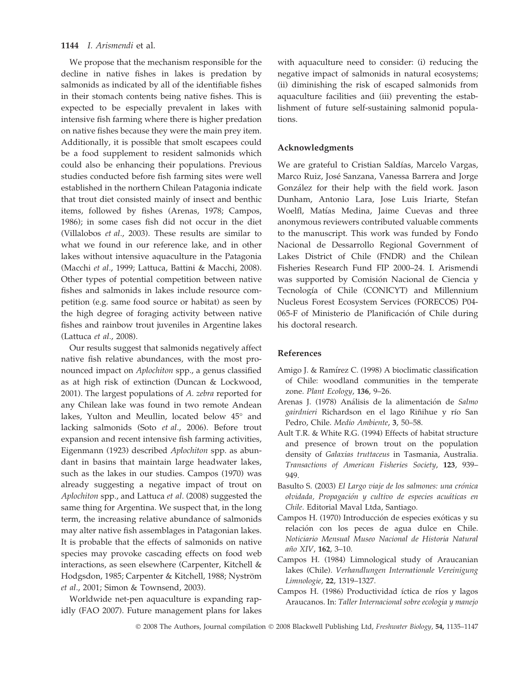#### 1144 I. Arismendi et al.

We propose that the mechanism responsible for the decline in native fishes in lakes is predation by salmonids as indicated by all of the identifiable fishes in their stomach contents being native fishes. This is expected to be especially prevalent in lakes with intensive fish farming where there is higher predation on native fishes because they were the main prey item. Additionally, it is possible that smolt escapees could be a food supplement to resident salmonids which could also be enhancing their populations. Previous studies conducted before fish farming sites were well established in the northern Chilean Patagonia indicate that trout diet consisted mainly of insect and benthic items, followed by fishes (Arenas, 1978; Campos, 1986); in some cases fish did not occur in the diet (Villalobos et al., 2003). These results are similar to what we found in our reference lake, and in other lakes without intensive aquaculture in the Patagonia (Macchi et al., 1999; Lattuca, Battini & Macchi, 2008). Other types of potential competition between native fishes and salmonids in lakes include resource competition (e.g. same food source or habitat) as seen by the high degree of foraging activity between native fishes and rainbow trout juveniles in Argentine lakes (Lattuca et al., 2008).

Our results suggest that salmonids negatively affect native fish relative abundances, with the most pronounced impact on Aplochiton spp., a genus classified as at high risk of extinction (Duncan & Lockwood, 2001). The largest populations of A. zebra reported for any Chilean lake was found in two remote Andean lakes, Yulton and Meullin, located below 45° and lacking salmonids (Soto et al., 2006). Before trout expansion and recent intensive fish farming activities, Eigenmann (1923) described Aplochiton spp. as abundant in basins that maintain large headwater lakes, such as the lakes in our studies. Campos (1970) was already suggesting a negative impact of trout on Aplochiton spp., and Lattuca et al. (2008) suggested the same thing for Argentina. We suspect that, in the long term, the increasing relative abundance of salmonids may alter native fish assemblages in Patagonian lakes. It is probable that the effects of salmonids on native species may provoke cascading effects on food web interactions, as seen elsewhere (Carpenter, Kitchell & Hodgsdon, 1985; Carpenter & Kitchell, 1988; Nyström et al., 2001; Simon & Townsend, 2003).

Worldwide net-pen aquaculture is expanding rapidly (FAO 2007). Future management plans for lakes with aquaculture need to consider: (i) reducing the negative impact of salmonids in natural ecosystems; (ii) diminishing the risk of escaped salmonids from aquaculture facilities and (iii) preventing the establishment of future self-sustaining salmonid populations.

#### Acknowledgments

We are grateful to Cristian Saldías, Marcelo Vargas, Marco Ruiz, José Sanzana, Vanessa Barrera and Jorge González for their help with the field work. Jason Dunham, Antonio Lara, Jose Luis Iriarte, Stefan Woelfl, Matías Medina, Jaime Cuevas and three anonymous reviewers contributed valuable comments to the manuscript. This work was funded by Fondo Nacional de Dessarrollo Regional Government of Lakes District of Chile (FNDR) and the Chilean Fisheries Research Fund FIP 2000–24. I. Arismendi was supported by Comisión Nacional de Ciencia y Tecnología of Chile (CONICYT) and Millennium Nucleus Forest Ecosystem Services (FORECOS) P04- 065-F of Ministerio de Planificación of Chile during his doctoral research.

## References

- Amigo J. & Ramı´rez C. (1998) A bioclimatic classification of Chile: woodland communities in the temperate zone. Plant Ecology, 136, 9–26.
- Arenas J. (1978) Análisis de la alimentación de Salmo gairdnieri Richardson en el lago Riñihue y río San Pedro, Chile. Medio Ambiente, 3, 50–58.
- Ault T.R. & White R.G. (1994) Effects of habitat structure and presence of brown trout on the population density of Galaxias truttaceus in Tasmania, Australia. Transactions of American Fisheries Society, 123, 939– 949.
- Basulto S. (2003) El Largo viaje de los salmones: una crónica olvidada, Propagación y cultivo de especies acuáticas en Chile. Editorial Maval Ltda, Santiago.
- Campos H. (1970) Introducción de especies exóticas y su relación con los peces de agua dulce en Chile. Noticiario Mensual Museo Nacional de Historia Natural año XIV, 162, 3-10.
- Campos H. (1984) Limnological study of Araucanian lakes (Chile). Verhandlungen Internationale Vereinigung Limnologie, 22, 1319–1327.
- Campos H. (1986) Productividad íctica de ríos y lagos Araucanos. In: Taller Internacional sobre ecologia y manejo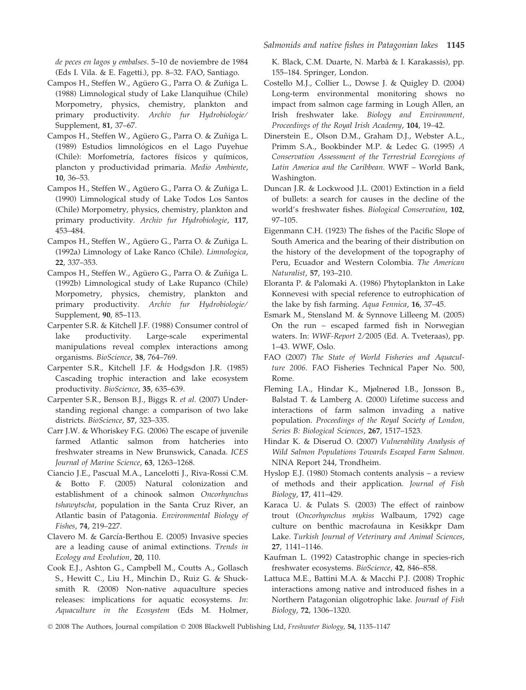de peces en lagos y embalses. 5–10 de noviembre de 1984 (Eds I. Vila. & E. Fagetti.), pp. 8–32. FAO, Santiago.

- Campos H., Steffen W., Agüero G., Parra O. & Zuñiga L. (1988) Limnological study of Lake Llanquihue (Chile) Morpometry, physics, chemistry, plankton and primary productivity. Archiv fur Hydrobiologie⁄ Supplement, 81, 37–67.
- Campos H., Steffen W., Agüero G., Parra O. & Zuñiga L. (1989) Estudios limnológicos en el Lago Puyehue (Chile): Morfometría, factores físicos y químicos, plancton y productividad primaria. Medio Ambiente, 10, 36–53.
- Campos H., Steffen W., Agüero G., Parra O. & Zuñiga L. (1990) Limnological study of Lake Todos Los Santos (Chile) Morpometry, physics, chemistry, plankton and primary productivity. Archiv fur Hydrobiologie, 117, 453–484.
- Campos H., Steffen W., Agüero G., Parra O. & Zuñiga L. (1992a) Limnology of Lake Ranco (Chile). Limnologica, 22, 337–353.
- Campos H., Steffen W., Agüero G., Parra O. & Zuñiga L. (1992b) Limnological study of Lake Rupanco (Chile) Morpometry, physics, chemistry, plankton and primary productivity. Archiv fur Hydrobiologie⁄ Supplement, 90, 85–113.
- Carpenter S.R. & Kitchell J.F. (1988) Consumer control of lake productivity. Large-scale experimental manipulations reveal complex interactions among organisms. BioScience, 38, 764–769.
- Carpenter S.R., Kitchell J.F. & Hodgsdon J.R. (1985) Cascading trophic interaction and lake ecosystem productivity. BioScience, 35, 635–639.
- Carpenter S.R., Benson B.J., Biggs R. et al. (2007) Understanding regional change: a comparison of two lake districts. BioScience, 57, 323–335.
- Carr J.W. & Whoriskey F.G. (2006) The escape of juvenile farmed Atlantic salmon from hatcheries into freshwater streams in New Brunswick, Canada. ICES Journal of Marine Science, 63, 1263–1268.
- Ciancio J.E., Pascual M.A., Lancelotti J., Riva-Rossi C.M. & Botto F. (2005) Natural colonization and establishment of a chinook salmon Oncorhynchus tshawytscha, population in the Santa Cruz River, an Atlantic basin of Patagonia. Environmental Biology of Fishes, 74, 219–227.
- Clavero M. & García-Berthou E. (2005) Invasive species are a leading cause of animal extinctions. Trends in Ecology and Evolution, 20, 110.
- Cook E.J., Ashton G., Campbell M., Coutts A., Gollasch S., Hewitt C., Liu H., Minchin D., Ruiz G. & Shucksmith R. (2008) Non-native aquaculture species releases: implications for aquatic ecosystems. In: Aquaculture in the Ecosystem (Eds M. Holmer,

K. Black, C.M. Duarte, N. Marbà & I. Karakassis), pp. 155–184. Springer, London.

- Costello M.J., Collier L., Dowse J. & Quigley D. (2004) Long-term environmental monitoring shows no impact from salmon cage farming in Lough Allen, an Irish freshwater lake. Biology and Environment, Proceedings of the Royal Irish Academy, 104, 19–42.
- Dinerstein E., Olson D.M., Graham D.J., Webster A.L., Primm S.A., Bookbinder M.P. & Ledec G. (1995) A Conservation Assessment of the Terrestrial Ecoregions of Latin America and the Caribbean. WWF – World Bank, Washington.
- Duncan J.R. & Lockwood J.L. (2001) Extinction in a field of bullets: a search for causes in the decline of the world's freshwater fishes. Biological Conservation, 102, 97–105.
- Eigenmann C.H. (1923) The fishes of the Pacific Slope of South America and the bearing of their distribution on the history of the development of the topography of Peru, Ecuador and Western Colombia. The American Naturalist, 57, 193–210.
- Eloranta P. & Palomaki A. (1986) Phytoplankton in Lake Konnevesi with special reference to eutrophication of the lake by fish farming. Aqua Fennica, 16, 37–45.
- Esmark M., Stensland M. & Synnove Lilleeng M. (2005) On the run – escaped farmed fish in Norwegian waters. In: WWF-Report 2/2005 (Ed. A. Tveteraas), pp. 1–43. WWF, Oslo.
- FAO (2007) The State of World Fisheries and Aquaculture 2006. FAO Fisheries Technical Paper No. 500, Rome.
- Fleming I.A., Hindar K., Mjølnerød I.B., Jonsson B., Balstad T. & Lamberg A. (2000) Lifetime success and interactions of farm salmon invading a native population. Proceedings of the Royal Society of London, Series B: Biological Sciences, 267, 1517–1523.
- Hindar K. & Diserud O. (2007) Vulnerability Analysis of Wild Salmon Populations Towards Escaped Farm Salmon. NINA Report 244, Trondheim.
- Hyslop E.J. (1980) Stomach contents analysis a review of methods and their application. Journal of Fish Biology, 17, 411–429.
- Karaca U. & Pulats S. (2003) The effect of rainbow trout (Oncorhynchus mykiss Walbaum, 1792) cage culture on benthic macrofauna in Kesikkpr Dam Lake. Turkish Journal of Veterinary and Animal Sciences, 27, 1141–1146.
- Kaufman L. (1992) Catastrophic change in species-rich freshwater ecosystems. BioScience, 42, 846–858.
- Lattuca M.E., Battini M.A. & Macchi P.J. (2008) Trophic interactions among native and introduced fishes in a Northern Patagonian oligotrophic lake. Journal of Fish Biology, 72, 1306–1320.

<sup>© 2008</sup> The Authors, Journal compilation © 2008 Blackwell Publishing Ltd, Freshwater Biology, 54, 1135–1147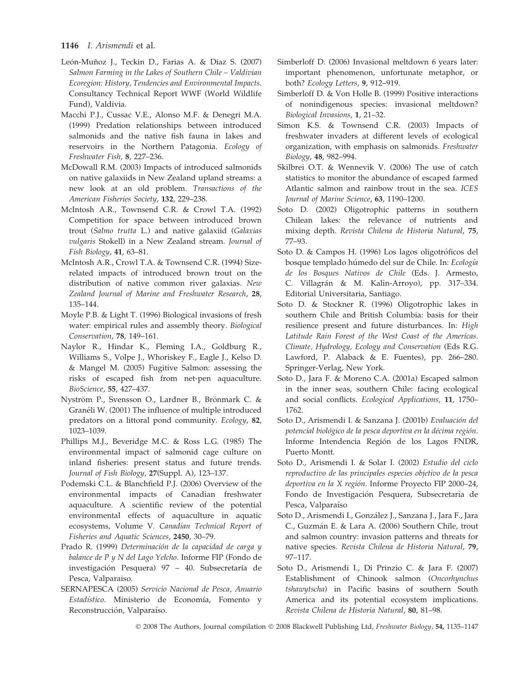- León-Muñoz J., Teckin D., Farias A. & Diaz S. (2007) Salmon Farming in the Lakes of Southern Chile – Valdivian Ecoregion: History, Tendencies and Environmental Impacts. Consultancy Technical Report WWF (World Wildlife Fund), Valdivia.
- Macchi P.J., Cussac V.E., Alonso M.F. & Denegri M.A. (1999) Predation relationships between introduced salmonids and the native fish fauna in lakes and reservoirs in the Northern Patagonia. Ecology of Freshwater Fish, 8, 227–236.
- McDowall R.M. (2003) Impacts of introduced salmonids on native galaxiids in New Zealand upland streams: a new look at an old problem. Transactions of the American Fisheries Society, 132, 229–238.
- McIntosh A.R., Townsend C.R. & Crowl T.A. (1992) Competition for space between introduced brown trout (Salmo trutta L.) and native galaxiid (Galaxias vulgaris Stokell) in a New Zealand stream. Journal of Fish Biology, 41, 63–81.
- McIntosh A.R., Crowl T.A. & Townsend C.R. (1994) Sizerelated impacts of introduced brown trout on the distribution of native common river galaxias. New Zealand Journal of Marine and Freshwater Research, 28, 135–144.
- Moyle P.B. & Light T. (1996) Biological invasions of fresh water: empirical rules and assembly theory. Biological Conservation, 78, 149–161.
- Naylor R., Hindar K., Fleming I.A., Goldburg R., Williams S., Volpe J., Whoriskey F., Eagle J., Kelso D. & Mangel M. (2005) Fugitive Salmon: assessing the risks of escaped fish from net-pen aquaculture. BioScience, 55, 427–437.
- Nyström P., Svensson O., Lardner B., Brönmark C. & Granéli W. (2001) The influence of multiple introduced predators on a littoral pond community. Ecology, 82, 1023–1039.
- Phillips M.J., Beveridge M.C. & Ross L.G. (1985) The environmental impact of salmonid cage culture on inland fisheries: present status and future trends. Journal of Fish Biology, 27(Suppl. A), 123–137.
- Podemski C.L. & Blanchfield P.J. (2006) Overview of the environmental impacts of Canadian freshwater aquaculture. A scientific review of the potential environmental effects of aquaculture in aquatic ecosystems, Volume V. Canadian Technical Report of Fisheries and Aquatic Sciences, 2450, 30–79.
- Prado R. (1999) Determinación de la capacidad de carga y balance de P y N del Lago Yelcho. Informe FIP (Fondo de investigación Pesquera) 97 – 40. Subsecretaría de Pesca, Valparaiso.
- SERNAPESCA (2005) Servicio Nacional de Pesca, Anuario Estadístico. Ministerio de Economía, Fomento y Reconstrucción, Valparaíso.
- Simberloff D. (2006) Invasional meltdown 6 years later: important phenomenon, unfortunate metaphor, or both? Ecology Letters, 9, 912–919.
- Simberloff D. & Von Holle B. (1999) Positive interactions of nonindigenous species: invasional meltdown? Biological Invasions, 1, 21–32.
- Simon K.S. & Townsend C.R. (2003) Impacts of freshwater invaders at different levels of ecological organization, with emphasis on salmonids. Freshwater Biology, 48, 982–994.
- Skilbrei O.T. & Wennevik V. (2006) The use of catch statistics to monitor the abundance of escaped farmed Atlantic salmon and rainbow trout in the sea. ICES Journal of Marine Science, 63, 1190–1200.
- Soto D. (2002) Oligotrophic patterns in southern Chilean lakes: the relevance of nutrients and mixing depth. Revista Chilena de Historia Natural, 75, 77–93.
- Soto D. & Campos H. (1996) Los lagos oligotróficos del bosque templado húmedo del sur de Chile. In: Ecología de los Bosques Nativos de Chile (Eds. J. Armesto, C. Villagrán & M. Kalin-Arroyo), pp. 317-334. Editorial Universitaria, Santiago.
- Soto D. & Stockner R. (1996) Oligotrophic lakes in southern Chile and British Columbia: basis for their resilience present and future disturbances. In: High Latitude Rain Forest of the West Coast of the Americas. Climate, Hydrology, Ecology and Conservation (Eds R.G. Lawford, P. Alaback & E. Fuentes), pp. 266-280. Springer-Verlag, New York.
- Soto D., Jara F. & Moreno C.A. (2001a) Escaped salmon in the inner seas, southern Chile: facing ecological and social conflicts. Ecological Applications, 11, 1750– 1762.
- Soto D., Arismendi I. & Sanzana J. (2001b) Evaluación del potencial biológico de la pesca deportiva en la décima región. Informe Intendencia Región de los Lagos FNDR, Puerto Montt.
- Soto D., Arismendi I. & Solar I. (2002) Estudio del ciclo reproductivo de las principales especies objetivo de la pesca deportiva en la X región. Informe Proyecto FIP 2000-24, Fondo de Investigación Pesquera, Subsecretaría de Pesca, Valparaíso
- Soto D., Arismendi I., González J., Sanzana J., Jara F., Jara C., Guzmán E. & Lara A. (2006) Southern Chile, trout and salmon country: invasion patterns and threats for native species. Revista Chilena de Historia Natural, 79, 97–117.
- Soto D., Arismendi I., Di Prinzio C. & Jara F. (2007) Establishment of Chinook salmon (Oncorhynchus tshawytscha) in Pacific basins of southern South America and its potential ecosystem implications. Revista Chilena de Historia Natural, 80, 81–98.